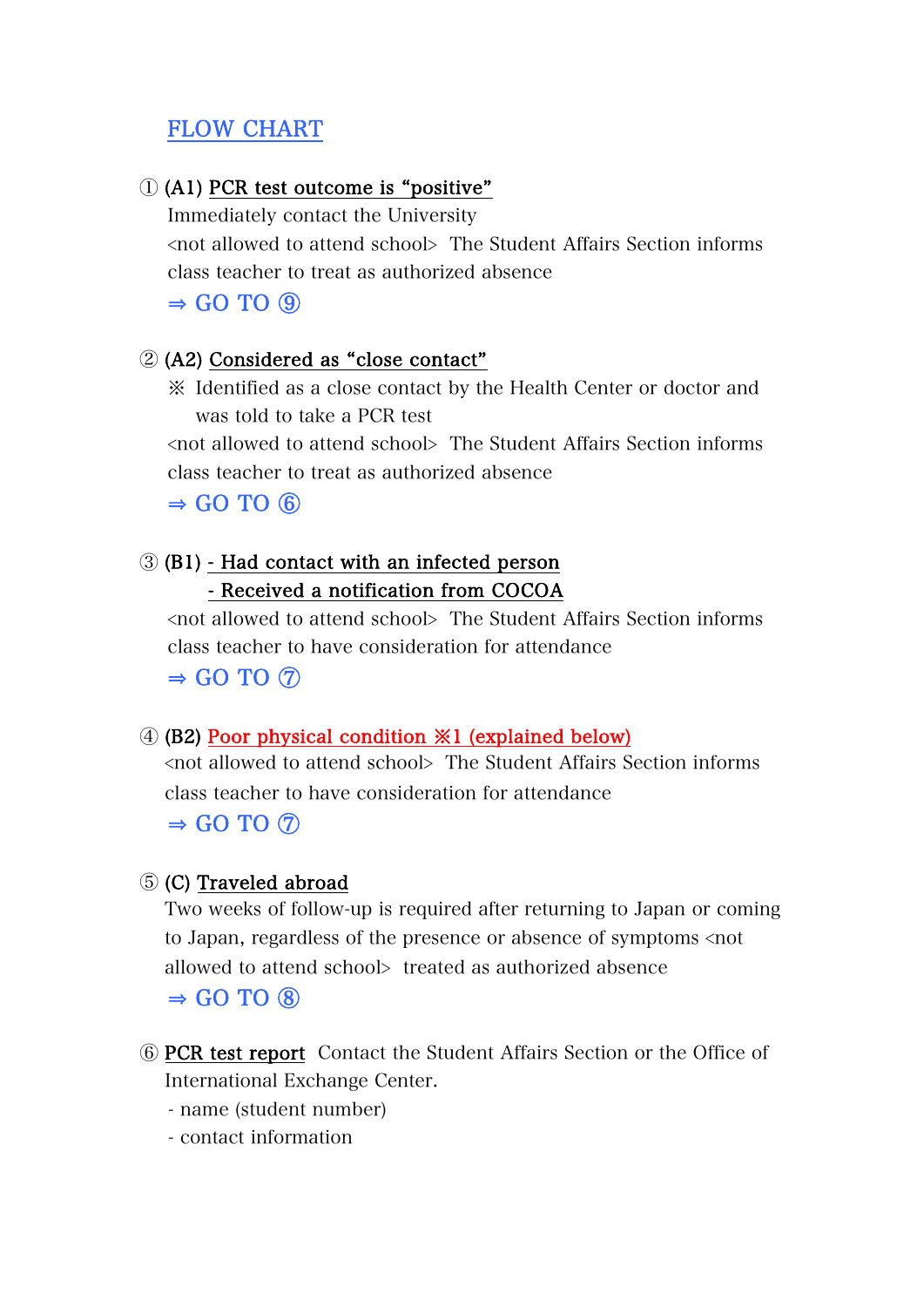# FLOW CHART

## ① (A1) PCR test outcome is "positive"

Immediately contact the University <not allowed to attend school> The Student Affairs Section informs class teacher to treat as authorized absence  $\Rightarrow$  GO TO  $\circledcirc$ 

## ② (A2) Considered as "close contact"

※ Identified as a close contact by the Health Center or doctor and was told to take a PCR test

<not allowed to attend school> The Student Affairs Section informs class teacher to treat as authorized absence

 $\Rightarrow$  GO TO  $\circledcirc$ 

# ③ (B1) - Had contact with an infected person - Received a notification from COCOA

<not allowed to attend school> The Student Affairs Section informs class teacher to have consideration for attendance  $\Rightarrow$  GO TO  $\circledcirc$ 

# ④ (B2) Poor physical condition ※1 (explained below)

<not allowed to attend school> The Student Affairs Section informs class teacher to have consideration for attendance  $\Rightarrow$  GO TO  $\circledcirc$ 

# ⑤ (C) Traveled abroad

Two weeks of follow-up is required after returning to Japan or coming to Japan, regardless of the presence or absence of symptoms <not allowed to attend school> treated as authorized absence  $\Rightarrow$  GO TO  $\circledR$ 

- ⑥ PCR test report Contact the Student Affairs Section or the Office of International Exchange Center.
	- name (student number)
	- contact information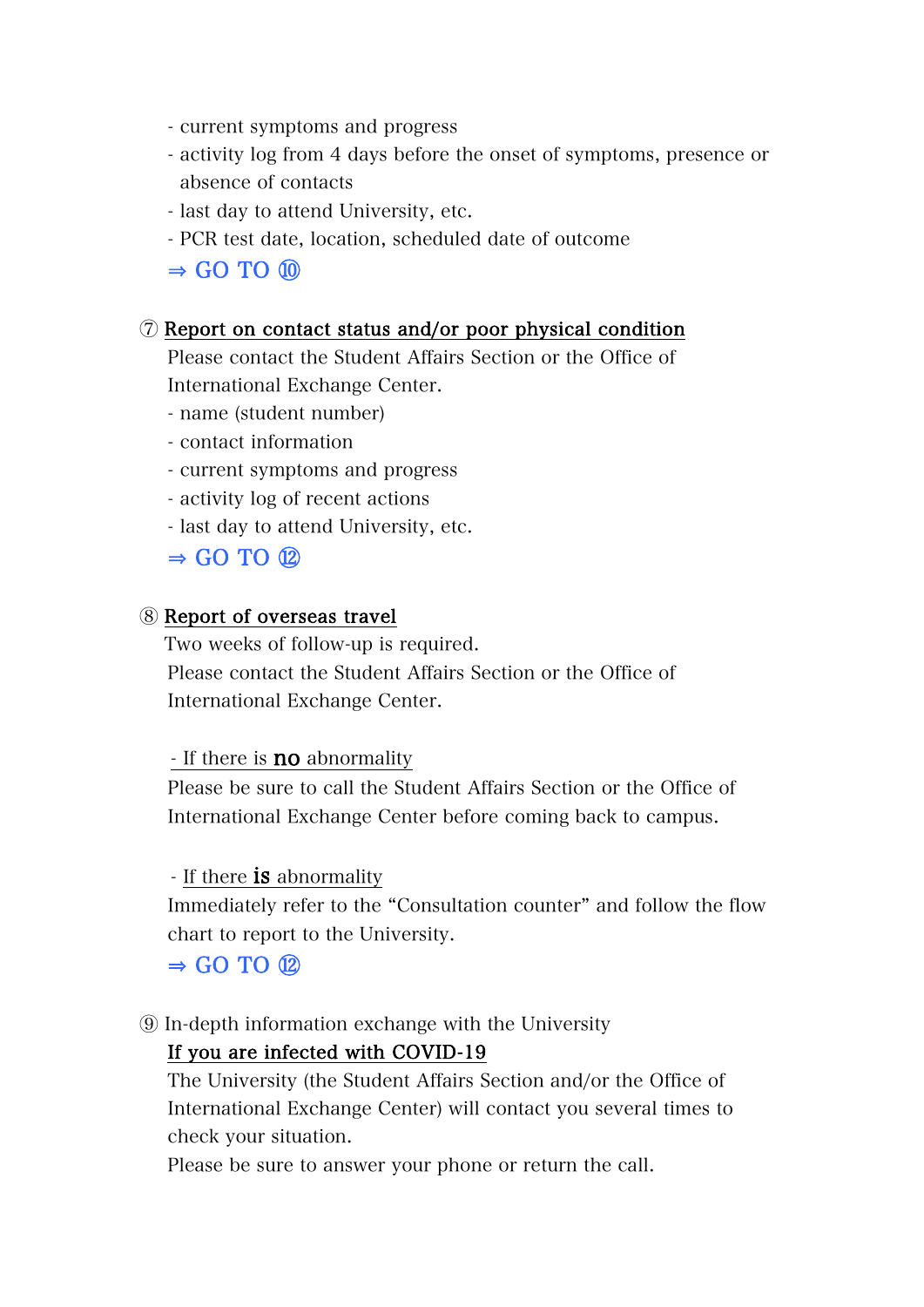- current symptoms and progress
- activity log from 4 days before the onset of symptoms, presence or absence of contacts
- last day to attend University, etc.
- PCR test date, location, scheduled date of outcome

## $\Rightarrow$  GO TO  $\omega$

#### ⑦ Report on contact status and/or poor physical condition

Please contact the Student Affairs Section or the Office of International Exchange Center.

- name (student number)
- contact information
- current symptoms and progress
- activity log of recent actions
- last day to attend University, etc.

### $\Rightarrow$  GO TO  $\Omega$

#### ⑧ Report of overseas travel

Two weeks of follow-up is required. Please contact the Student Affairs Section or the Office of International Exchange Center.

#### - If there is **no** abnormality

Please be sure to call the Student Affairs Section or the Office of International Exchange Center before coming back to campus.

#### - If there **is** abnormality

Immediately refer to the "Consultation counter" and follow the flow chart to report to the University.

## $\Rightarrow$  GO TO  $\Omega$

⑨ In-depth information exchange with the University

## If you are infected with COVID-19

The University (the Student Affairs Section and/or the Office of International Exchange Center) will contact you several times to check your situation.

Please be sure to answer your phone or return the call.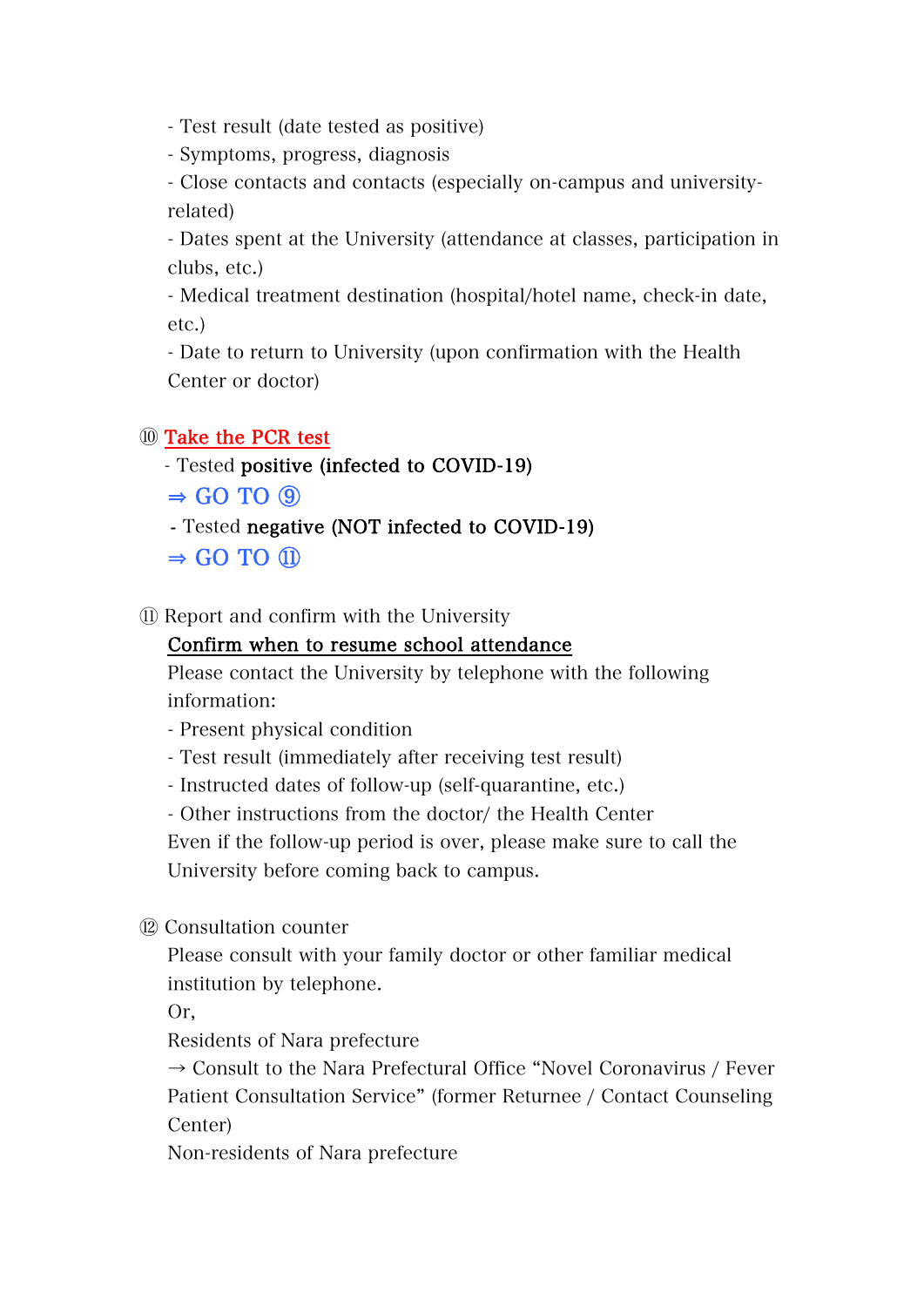- Test result (date tested as positive)

- Symptoms, progress, diagnosis

- Close contacts and contacts (especially on-campus and universityrelated)

- Dates spent at the University (attendance at classes, participation in clubs, etc.)

- Medical treatment destination (hospital/hotel name, check-in date, etc.)

- Date to return to University (upon confirmation with the Health Center or doctor)

## ⑩ Take the PCR test

- Tested positive (infected to COVID-19)
- $\Rightarrow$  GO TO  $\circledcirc$
- Tested negative (NOT infected to COVID-19)
- $\Rightarrow$  GO TO  $(1)$
- ⑪ Report and confirm with the University

## Confirm when to resume school attendance

Please contact the University by telephone with the following information:

- Present physical condition
- Test result (immediately after receiving test result)
- Instructed dates of follow-up (self-quarantine, etc.)
- Other instructions from the doctor/ the Health Center

Even if the follow-up period is over, please make sure to call the University before coming back to campus.

⑫ Consultation counter

Please consult with your family doctor or other familiar medical institution by telephone.

Or,

Residents of Nara prefecture

 $\rightarrow$  Consult to the Nara Prefectural Office "Novel Coronavirus / Fever Patient Consultation Service" (former Returnee / Contact Counseling Center)

Non-residents of Nara prefecture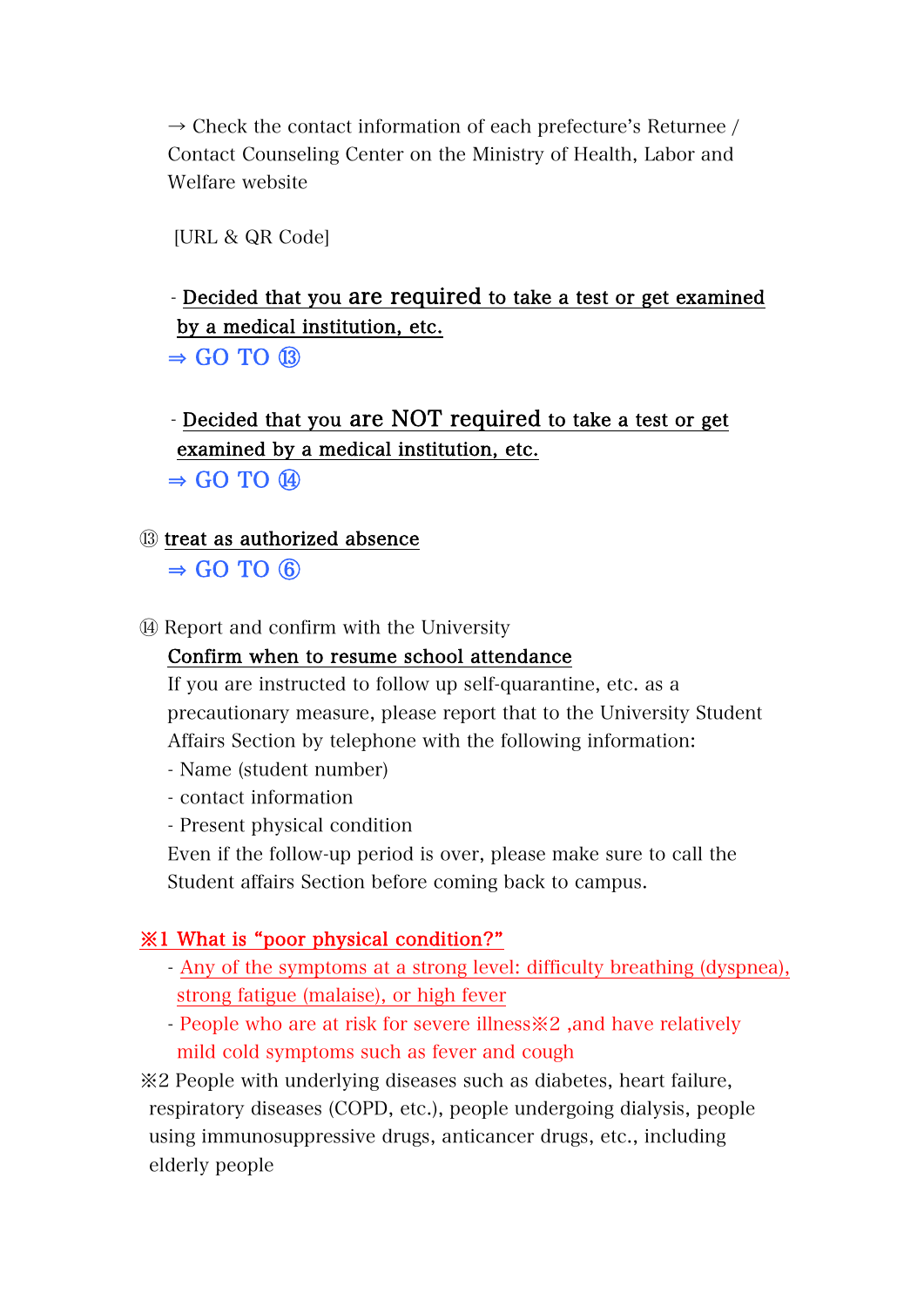$\rightarrow$  Check the contact information of each prefecture's Returnee / Contact Counseling Center on the Ministry of Health, Labor and Welfare website

[URL & QR Code]

# - Decided that you are required to take a test or get examined by a medical institution, etc.  $\Rightarrow$  GO TO  $\circledR$

# - Decided that you are NOT required to take a test or get examined by a medical institution, etc.

 $\Rightarrow$  GO TO  $\Omega$ 

- ⑬ treat as authorized absence  $\Rightarrow$  GO TO  $\circledcirc$
- ⑭ Report and confirm with the University

## Confirm when to resume school attendance

If you are instructed to follow up self-quarantine, etc. as a precautionary measure, please report that to the University Student Affairs Section by telephone with the following information:

- Name (student number)
- contact information
- Present physical condition

Even if the follow-up period is over, please make sure to call the Student affairs Section before coming back to campus.

# ※1 What is "poor physical condition?"

- Any of the symptoms at a strong level: difficulty breathing (dyspnea), strong fatigue (malaise), or high fever
- People who are at risk for severe illness※2 ,and have relatively mild cold symptoms such as fever and cough

※2 People with underlying diseases such as diabetes, heart failure, respiratory diseases (COPD, etc.), people undergoing dialysis, people using immunosuppressive drugs, anticancer drugs, etc., including elderly people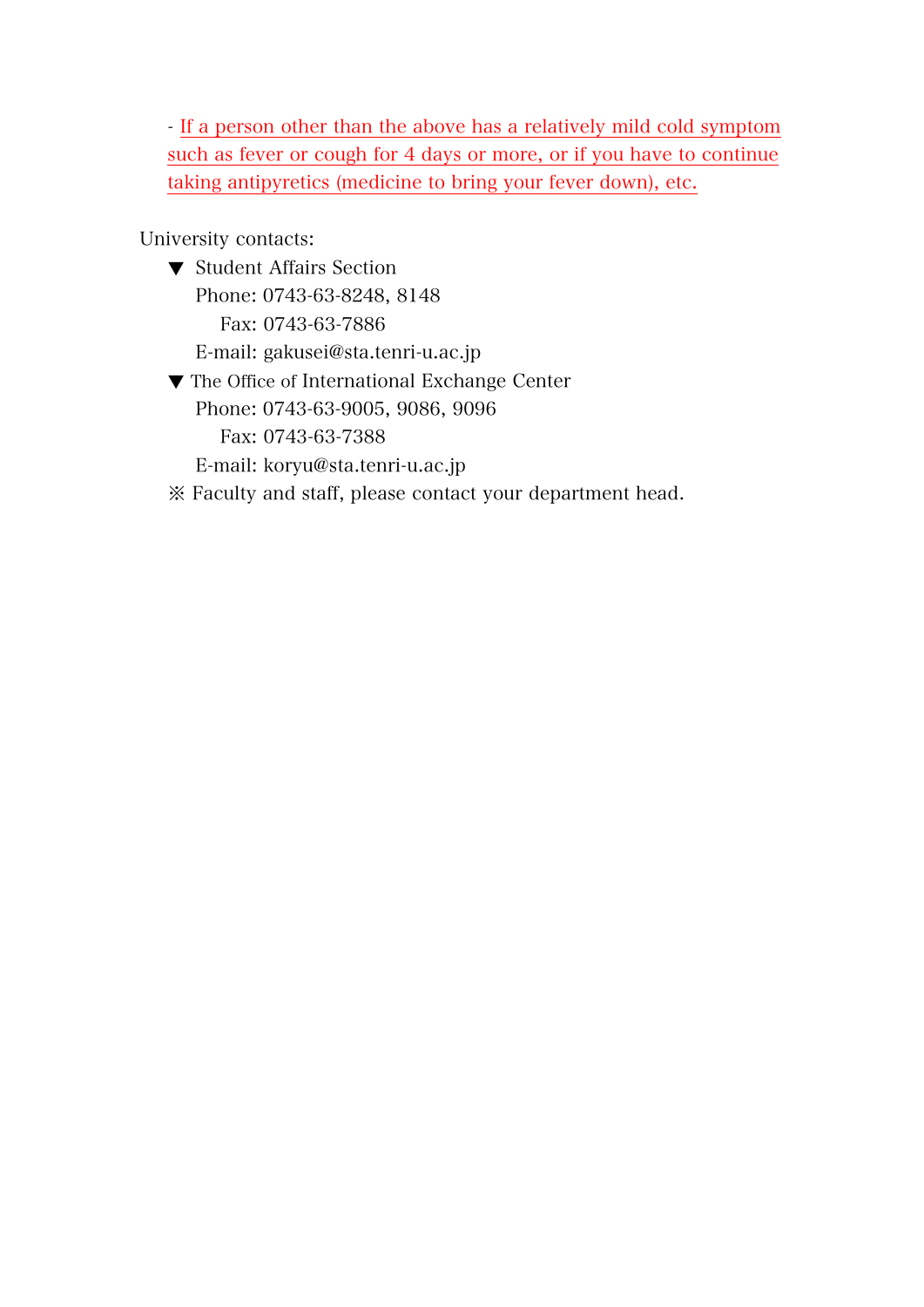- If a person other than the above has a relatively mild cold symptom such as fever or cough for 4 days or more, or if you have to continue taking antipyretics (medicine to bring your fever down), etc.

University contacts:

- ▼ Student Affairs Section Phone: 0743-63-8248, 8148 Fax: 0743-63-7886 E-mail: gakusei@sta.tenri-u.ac.jp
- ▼ The Office of International Exchange Center Phone: 0743-63-9005, 9086, 9096 Fax: 0743-63-7388 E-mail: koryu@sta.tenri-u.ac.jp
- ※ Faculty and staff, please contact your department head.